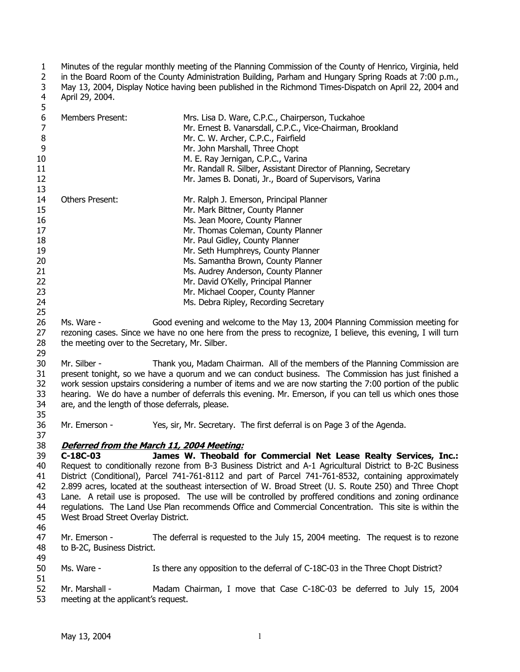1 2 3 4 Minutes of the regular monthly meeting of the Planning Commission of the County of Henrico, Virginia, held in the Board Room of the County Administration Building, Parham and Hungary Spring Roads at 7:00 p.m., May 13, 2004, Display Notice having been published in the Richmond Times-Dispatch on April 22, 2004 and April 29, 2004.

| 5  |                        |                                                                  |
|----|------------------------|------------------------------------------------------------------|
| 6  | Members Present:       | Mrs. Lisa D. Ware, C.P.C., Chairperson, Tuckahoe                 |
|    |                        | Mr. Ernest B. Vanarsdall, C.P.C., Vice-Chairman, Brookland       |
| 8  |                        | Mr. C. W. Archer, C.P.C., Fairfield                              |
| 9  |                        | Mr. John Marshall, Three Chopt                                   |
| 10 |                        | M. E. Ray Jernigan, C.P.C., Varina                               |
| 11 |                        | Mr. Randall R. Silber, Assistant Director of Planning, Secretary |
| 12 |                        | Mr. James B. Donati, Jr., Board of Supervisors, Varina           |
| 13 |                        |                                                                  |
| 14 | <b>Others Present:</b> | Mr. Ralph J. Emerson, Principal Planner                          |
| 15 |                        | Mr. Mark Bittner, County Planner                                 |
| 16 |                        | Ms. Jean Moore, County Planner                                   |
| 17 |                        | Mr. Thomas Coleman, County Planner                               |
| 18 |                        | Mr. Paul Gidley, County Planner                                  |
| 19 |                        | Mr. Seth Humphreys, County Planner                               |
| 20 |                        | Ms. Samantha Brown, County Planner                               |
| 21 |                        | Ms. Audrey Anderson, County Planner                              |
| 22 |                        | Mr. David O'Kelly, Principal Planner                             |
| 23 |                        | Mr. Michael Cooper, County Planner                               |
| 24 |                        | Ms. Debra Ripley, Recording Secretary                            |

25 26 27 28 29 Ms. Ware - Good evening and welcome to the May 13, 2004 Planning Commission meeting for rezoning cases. Since we have no one here from the press to recognize, I believe, this evening, I will turn the meeting over to the Secretary, Mr. Silber.

30 31 32 33 34 35 Mr. Silber - Thank you, Madam Chairman. All of the members of the Planning Commission are present tonight, so we have a quorum and we can conduct business. The Commission has just finished a work session upstairs considering a number of items and we are now starting the 7:00 portion of the public hearing. We do have a number of deferrals this evening. Mr. Emerson, if you can tell us which ones those are, and the length of those deferrals, please.

36 Mr. Emerson - Yes, sir, Mr. Secretary. The first deferral is on Page 3 of the Agenda.

# 38 **Deferred from the March 11, 2004 Meeting:**

39 40 41 42 43 44 45 **C-18C-03 James W. Theobald for Commercial Net Lease Realty Services, Inc.:** Request to conditionally rezone from B-3 Business District and A-1 Agricultural District to B-2C Business District (Conditional), Parcel 741-761-8112 and part of Parcel 741-761-8532, containing approximately 2.899 acres, located at the southeast intersection of W. Broad Street (U. S. Route 250) and Three Chopt Lane. A retail use is proposed. The use will be controlled by proffered conditions and zoning ordinance regulations. The Land Use Plan recommends Office and Commercial Concentration. This site is within the West Broad Street Overlay District.

46

37

47 48 49 Mr. Emerson - The deferral is requested to the July 15, 2004 meeting. The request is to rezone to B-2C, Business District.

50 Ms. Ware - Is there any opposition to the deferral of C-18C-03 in the Three Chopt District?

51

52 53 Mr. Marshall - Madam Chairman, I move that Case C-18C-03 be deferred to July 15, 2004 meeting at the applicant's request.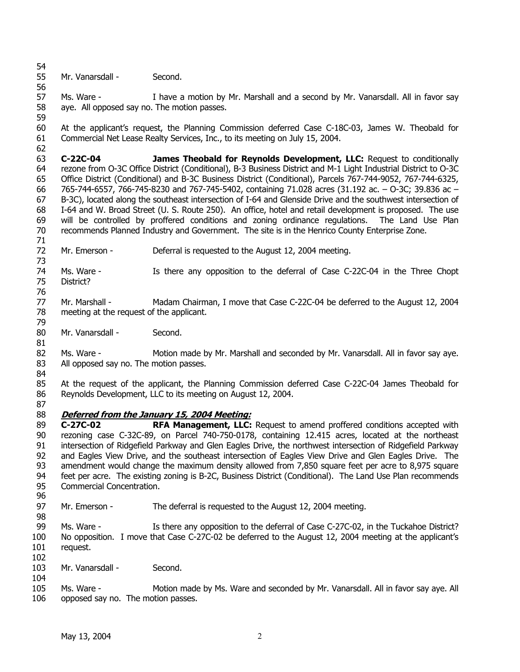- 54
- 55 Mr. Vanarsdall - Second.
- 56

81

87

98

57 58 59 Ms. Ware - I have a motion by Mr. Marshall and a second by Mr. Vanarsdall. All in favor say aye. All opposed say no. The motion passes.

60 61 62 At the applicant's request, the Planning Commission deferred Case C-18C-03, James W. Theobald for Commercial Net Lease Realty Services, Inc., to its meeting on July 15, 2004.

63 64 65 66 67 68 69 70 **C-22C-04 James Theobald for Reynolds Development, LLC:** Request to conditionally rezone from O-3C Office District (Conditional), B-3 Business District and M-1 Light Industrial District to O-3C Office District (Conditional) and B-3C Business District (Conditional), Parcels 767-744-9052, 767-744-6325, 765-744-6557, 766-745-8230 and 767-745-5402, containing 71.028 acres (31.192 ac. – O-3C; 39.836 ac – B-3C), located along the southeast intersection of I-64 and Glenside Drive and the southwest intersection of I-64 and W. Broad Street (U. S. Route 250). An office, hotel and retail development is proposed. The use will be controlled by proffered conditions and zoning ordinance regulations. The Land Use Plan recommends Planned Industry and Government. The site is in the Henrico County Enterprise Zone.

71 72 Mr. Emerson - Deferral is requested to the August 12, 2004 meeting.

73 74 75 76 Ms. Ware - Is there any opposition to the deferral of Case C-22C-04 in the Three Chopt District?

77 78 Mr. Marshall - Madam Chairman, I move that Case C-22C-04 be deferred to the August 12, 2004 meeting at the request of the applicant.

80 Mr. Vanarsdall - Second.

82 83 84 Ms. Ware - Motion made by Mr. Marshall and seconded by Mr. Vanarsdall. All in favor say aye. All opposed say no. The motion passes.

85 86 At the request of the applicant, the Planning Commission deferred Case C-22C-04 James Theobald for Reynolds Development, LLC to its meeting on August 12, 2004.

### 88 **Deferred from the January 15, 2004 Meeting:**

89 90 91 92 93 94 95 96 **C-27C-02 RFA Management, LLC:** Request to amend proffered conditions accepted with rezoning case C-32C-89, on Parcel 740-750-0178, containing 12.415 acres, located at the northeast intersection of Ridgefield Parkway and Glen Eagles Drive, the northwest intersection of Ridgefield Parkway and Eagles View Drive, and the southeast intersection of Eagles View Drive and Glen Eagles Drive. The amendment would change the maximum density allowed from 7,850 square feet per acre to 8,975 square feet per acre. The existing zoning is B-2C, Business District (Conditional). The Land Use Plan recommends Commercial Concentration.

97 Mr. Emerson - The deferral is requested to the August 12, 2004 meeting.

99 100 101 Ms. Ware - Is there any opposition to the deferral of Case C-27C-02, in the Tuckahoe District? No opposition. I move that Case C-27C-02 be deferred to the August 12, 2004 meeting at the applicant's request.

- 102
- 103 104 Mr. Vanarsdall - Second.
- 105 106 Ms. Ware - Motion made by Ms. Ware and seconded by Mr. Vanarsdall. All in favor say aye. All opposed say no. The motion passes.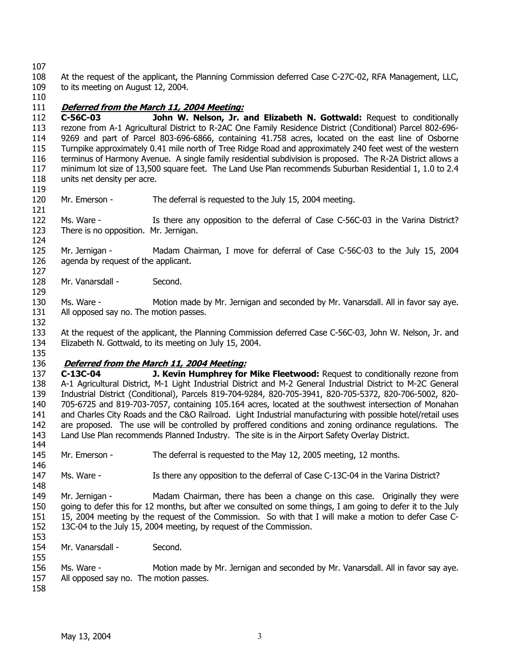108 109 At the request of the applicant, the Planning Commission deferred Case C-27C-02, RFA Management, LLC, to its meeting on August 12, 2004.

110

## 111 **Deferred from the March 11, 2004 Meeting:**

112 113 114 115 116 117 118 **C-56C-03 John W. Nelson, Jr. and Elizabeth N. Gottwald:** Request to conditionally rezone from A-1 Agricultural District to R-2AC One Family Residence District (Conditional) Parcel 802-696- 9269 and part of Parcel 803-696-6866, containing 41.758 acres, located on the east line of Osborne Turnpike approximately 0.41 mile north of Tree Ridge Road and approximately 240 feet west of the western terminus of Harmony Avenue. A single family residential subdivision is proposed. The R-2A District allows a minimum lot size of 13,500 square feet. The Land Use Plan recommends Suburban Residential 1, 1.0 to 2.4 units net density per acre.

119

124

127

129

132

120 121 Mr. Emerson - The deferral is requested to the July 15, 2004 meeting.

122 123 Ms. Ware - Is there any opposition to the deferral of Case C-56C-03 in the Varina District? There is no opposition. Mr. Jernigan.

125 126 Mr. Jernigan - Madam Chairman, I move for deferral of Case C-56C-03 to the July 15, 2004 agenda by request of the applicant.

128 Mr. Vanarsdall - Second.

130 131 Ms. Ware - Motion made by Mr. Jernigan and seconded by Mr. Vanarsdall. All in favor say aye. All opposed say no. The motion passes.

133 134 At the request of the applicant, the Planning Commission deferred Case C-56C-03, John W. Nelson, Jr. and Elizabeth N. Gottwald, to its meeting on July 15, 2004.

135

### 136 **Deferred from the March 11, 2004 Meeting:**

137 138 139 140 141 142 143 144 **C-13C-04 J. Kevin Humphrey for Mike Fleetwood:** Request to conditionally rezone from A-1 Agricultural District, M-1 Light Industrial District and M-2 General Industrial District to M-2C General Industrial District (Conditional), Parcels 819-704-9284, 820-705-3941, 820-705-5372, 820-706-5002, 820- 705-6725 and 819-703-7057, containing 105.164 acres, located at the southwest intersection of Monahan and Charles City Roads and the C&O Railroad. Light Industrial manufacturing with possible hotel/retail uses are proposed. The use will be controlled by proffered conditions and zoning ordinance regulations. The Land Use Plan recommends Planned Industry. The site is in the Airport Safety Overlay District.

145 Mr. Emerson - The deferral is requested to the May 12, 2005 meeting, 12 months.

146 147 Ms. Ware - Is there any opposition to the deferral of Case C-13C-04 in the Varina District?

149 150 151 152 Mr. Jernigan - Madam Chairman, there has been a change on this case. Originally they were going to defer this for 12 months, but after we consulted on some things, I am going to defer it to the July 15, 2004 meeting by the request of the Commission. So with that I will make a motion to defer Case C-13C-04 to the July 15, 2004 meeting, by request of the Commission.

153 154 Mr. Vanarsdall - Second.

156 157 Ms. Ware - Motion made by Mr. Jernigan and seconded by Mr. Vanarsdall. All in favor say aye. All opposed say no. The motion passes.

158

155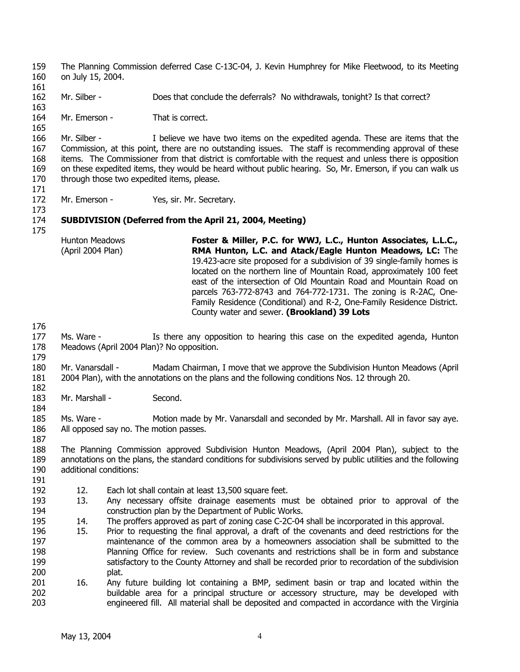The Planning Commission deferred Case C-13C-04, J. Kevin Humphrey for Mike Fleetwood, to its Meeting on July 15, 2004. 159 160 161 162 163 164 165 166 167 168 169 170 171 172 173 174 175 176 177 178 179 180 181 182 183 184 185 186 187 188 189 190 191 192 193 194 195 196 197 198 199 200 201 202 203 Mr. Silber - Does that conclude the deferrals? No withdrawals, tonight? Is that correct? Mr. Emerson - That is correct. Mr. Silber - I believe we have two items on the expedited agenda. These are items that the Commission, at this point, there are no outstanding issues. The staff is recommending approval of these items. The Commissioner from that district is comfortable with the request and unless there is opposition on these expedited items, they would be heard without public hearing. So, Mr. Emerson, if you can walk us through those two expedited items, please. Mr. Emerson - Yes, sir. Mr. Secretary. **SUBDIVISION (Deferred from the April 21, 2004, Meeting)**  Hunton Meadows (April 2004 Plan) **Foster & Miller, P.C. for WWJ, L.C., Hunton Associates, L.L.C., RMA Hunton, L.C. and Atack/Eagle Hunton Meadows, LC:** The 19.423-acre site proposed for a subdivision of 39 single-family homes is located on the northern line of Mountain Road, approximately 100 feet east of the intersection of Old Mountain Road and Mountain Road on parcels 763-772-8743 and 764-772-1731. The zoning is R-2AC, One-Family Residence (Conditional) and R-2, One-Family Residence District. County water and sewer. **(Brookland) 39 Lots** Ms. Ware - Is there any opposition to hearing this case on the expedited agenda, Hunton Meadows (April 2004 Plan)? No opposition. Mr. Vanarsdall - Madam Chairman, I move that we approve the Subdivision Hunton Meadows (April 2004 Plan), with the annotations on the plans and the following conditions Nos. 12 through 20. Mr. Marshall - Second. Ms. Ware - Motion made by Mr. Vanarsdall and seconded by Mr. Marshall. All in favor say aye. All opposed say no. The motion passes. The Planning Commission approved Subdivision Hunton Meadows, (April 2004 Plan), subject to the annotations on the plans, the standard conditions for subdivisions served by public utilities and the following additional conditions: 12. Each lot shall contain at least 13,500 square feet. 13. Any necessary offsite drainage easements must be obtained prior to approval of the construction plan by the Department of Public Works. 14. The proffers approved as part of zoning case C-2C-04 shall be incorporated in this approval. 15. Prior to requesting the final approval, a draft of the covenants and deed restrictions for the maintenance of the common area by a homeowners association shall be submitted to the Planning Office for review. Such covenants and restrictions shall be in form and substance satisfactory to the County Attorney and shall be recorded prior to recordation of the subdivision plat. 16. Any future building lot containing a BMP, sediment basin or trap and located within the buildable area for a principal structure or accessory structure, may be developed with engineered fill. All material shall be deposited and compacted in accordance with the Virginia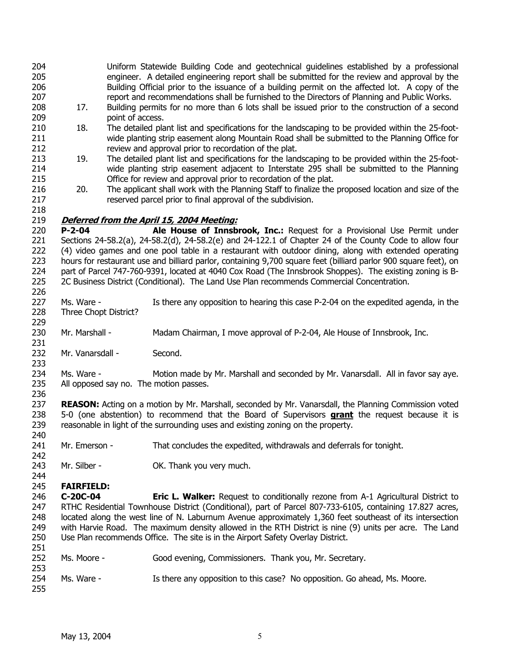| 204 |     | Uniform Statewide Building Code and geotechnical guidelines established by a professional       |
|-----|-----|-------------------------------------------------------------------------------------------------|
| 205 |     | engineer. A detailed engineering report shall be submitted for the review and approval by the   |
| 206 |     | Building Official prior to the issuance of a building permit on the affected lot. A copy of the |
| 207 |     | report and recommendations shall be furnished to the Directors of Planning and Public Works.    |
| 208 | 17. | Building permits for no more than 6 lots shall be issued prior to the construction of a second  |
| 209 |     | point of access.                                                                                |

- 210 211 212 18. The detailed plant list and specifications for the landscaping to be provided within the 25-footwide planting strip easement along Mountain Road shall be submitted to the Planning Office for review and approval prior to recordation of the plat.
- 213 214 215 19. The detailed plant list and specifications for the landscaping to be provided within the 25-footwide planting strip easement adjacent to Interstate 295 shall be submitted to the Planning Office for review and approval prior to recordation of the plat.
- 216 217 20. The applicant shall work with the Planning Staff to finalize the proposed location and size of the reserved parcel prior to final approval of the subdivision.

# 219 **Deferred from the April 15, 2004 Meeting:**

220 221 222 223 224 225 **P-2-04 Ale House of Innsbrook, Inc.:** Request for a Provisional Use Permit under Sections 24-58.2(a), 24-58.2(d), 24-58.2(e) and 24-122.1 of Chapter 24 of the County Code to allow four (4) video games and one pool table in a restaurant with outdoor dining, along with extended operating hours for restaurant use and billiard parlor, containing 9,700 square feet (billiard parlor 900 square feet), on part of Parcel 747-760-9391, located at 4040 Cox Road (The Innsbrook Shoppes). The existing zoning is B-2C Business District (Conditional). The Land Use Plan recommends Commercial Concentration.

- 227 228 Ms. Ware - Is there any opposition to hearing this case P-2-04 on the expedited agenda, in the Three Chopt District?
- 230 Mr. Marshall - Madam Chairman, I move approval of P-2-04, Ale House of Innsbrook, Inc.
- 232 Mr. Vanarsdall - Second.

234 235 Ms. Ware - Motion made by Mr. Marshall and seconded by Mr. Vanarsdall. All in favor say aye. All opposed say no. The motion passes.

237 **REASON:** Acting on a motion by Mr. Marshall, seconded by Mr. Vanarsdall, the Planning Commission voted 5-0 (one abstention) to recommend that the Board of Supervisors **grant** the request because it is reasonable in light of the surrounding uses and existing zoning on the property. 238 239 240

241 Mr. Emerson - That concludes the expedited, withdrawals and deferrals for tonight.

243 Mr. Silber - **OK.** Thank you very much.

#### 244 245 **FAIRFIELD:**

246 247 248 249 250 **C-20C-04 Eric L. Walker:** Request to conditionally rezone from A-1 Agricultural District to RTHC Residential Townhouse District (Conditional), part of Parcel 807-733-6105, containing 17.827 acres, located along the west line of N. Laburnum Avenue approximately 1,360 feet southeast of its intersection with Harvie Road. The maximum density allowed in the RTH District is nine (9) units per acre. The Land Use Plan recommends Office. The site is in the Airport Safety Overlay District.

251 252 253 254 Ms. Moore - Good evening, Commissioners. Thank you, Mr. Secretary. Ms. Ware - Is there any opposition to this case? No opposition. Go ahead, Ms. Moore.

255

218

226

229

231

233

236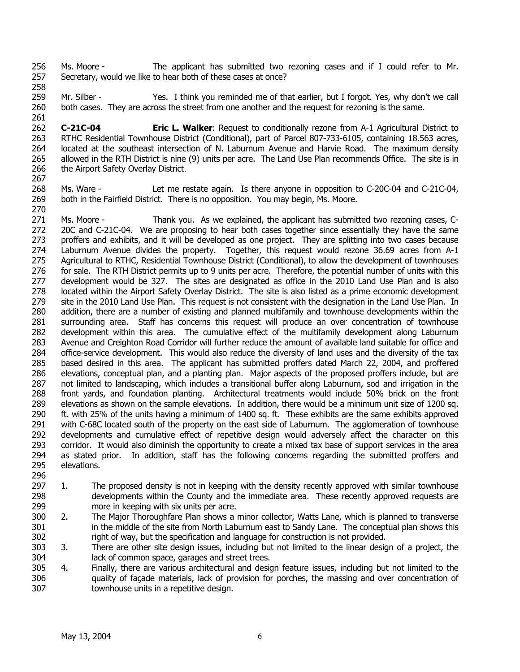256 257 Ms. Moore - The applicant has submitted two rezoning cases and if I could refer to Mr. Secretary, would we like to hear both of these cases at once?

259 260 Mr. Silber - Yes. I think you reminded me of that earlier, but I forgot. Yes, why don't we call both cases. They are across the street from one another and the request for rezoning is the same.

262 263 264 265 266 267 **C-21C-04 Eric L. Walker**: Request to conditionally rezone from A-1 Agricultural District to RTHC Residential Townhouse District (Conditional), part of Parcel 807-733-6105, containing 18.563 acres, located at the southeast intersection of N. Laburnum Avenue and Harvie Road. The maximum density allowed in the RTH District is nine (9) units per acre. The Land Use Plan recommends Office. The site is in the Airport Safety Overlay District.

268 269 270 Ms. Ware - Let me restate again. Is there anyone in opposition to C-20C-04 and C-21C-04, both in the Fairfield District. There is no opposition. You may begin, Ms. Moore.

271 272 273 274 275 276 277 278 279 280 281 282 283 284 285 286 287 288 289 290 291 292 293 294 295 296 Ms. Moore - Thank you. As we explained, the applicant has submitted two rezoning cases, C-20C and C-21C-04. We are proposing to hear both cases together since essentially they have the same proffers and exhibits, and it will be developed as one project. They are splitting into two cases because Laburnum Avenue divides the property. Together, this request would rezone 36.69 acres from A-1 Agricultural to RTHC, Residential Townhouse District (Conditional), to allow the development of townhouses for sale. The RTH District permits up to 9 units per acre. Therefore, the potential number of units with this development would be 327. The sites are designated as office in the 2010 Land Use Plan and is also located within the Airport Safety Overlay District. The site is also listed as a prime economic development site in the 2010 Land Use Plan. This request is not consistent with the designation in the Land Use Plan. In addition, there are a number of existing and planned multifamily and townhouse developments within the surrounding area. Staff has concerns this request will produce an over concentration of townhouse development within this area. The cumulative effect of the multifamily development along Laburnum Avenue and Creighton Road Corridor will further reduce the amount of available land suitable for office and office-service development. This would also reduce the diversity of land uses and the diversity of the tax based desired in this area. The applicant has submitted proffers dated March 22, 2004, and proffered elevations, conceptual plan, and a planting plan. Major aspects of the proposed proffers include, but are not limited to landscaping, which includes a transitional buffer along Laburnum, sod and irrigation in the front yards, and foundation planting. Architectural treatments would include 50% brick on the front elevations as shown on the sample elevations. In addition, there would be a minimum unit size of 1200 sq. ft. with 25% of the units having a minimum of 1400 sq. ft. These exhibits are the same exhibits approved with C-68C located south of the property on the east side of Laburnum. The agglomeration of townhouse developments and cumulative effect of repetitive design would adversely affect the character on this corridor. It would also diminish the opportunity to create a mixed tax base of support services in the area as stated prior. In addition, staff has the following concerns regarding the submitted proffers and elevations.

- 297 298 299 1. The proposed density is not in keeping with the density recently approved with similar townhouse developments within the County and the immediate area. These recently approved requests are more in keeping with six units per acre.
- 300 301 302 2. The Major Thoroughfare Plan shows a minor collector, Watts Lane, which is planned to transverse in the middle of the site from North Laburnum east to Sandy Lane. The conceptual plan shows this right of way, but the specification and language for construction is not provided.
- 303 304 3. There are other site design issues, including but not limited to the linear design of a project, the lack of common space, garages and street trees.
- 305 306 307 4. Finally, there are various architectural and design feature issues, including but not limited to the quality of façade materials, lack of provision for porches, the massing and over concentration of townhouse units in a repetitive design.

258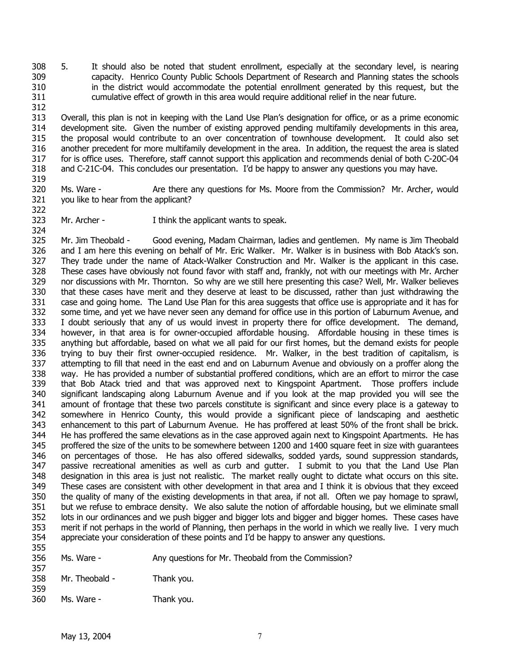308 309 310 311 5. It should also be noted that student enrollment, especially at the secondary level, is nearing capacity. Henrico County Public Schools Department of Research and Planning states the schools in the district would accommodate the potential enrollment generated by this request, but the cumulative effect of growth in this area would require additional relief in the near future.

313 314 315 316 317 318 Overall, this plan is not in keeping with the Land Use Plan's designation for office, or as a prime economic development site. Given the number of existing approved pending multifamily developments in this area, the proposal would contribute to an over concentration of townhouse development. It could also set another precedent for more multifamily development in the area. In addition, the request the area is slated for is office uses. Therefore, staff cannot support this application and recommends denial of both C-20C-04 and C-21C-04. This concludes our presentation. I'd be happy to answer any questions you may have.

320 321 Ms. Ware - Are there any questions for Ms. Moore from the Commission? Mr. Archer, would you like to hear from the applicant?

322 323

312

319

Mr. Archer - I think the applicant wants to speak.

324 325 326 327 328 329 330 331 332 333 334 335 336 337 338 339 340 341 342 343 344 345 346 347 348 349 350 351 352 353 354 355 Mr. Jim Theobald - Good evening, Madam Chairman, ladies and gentlemen. My name is Jim Theobald and I am here this evening on behalf of Mr. Eric Walker. Mr. Walker is in business with Bob Atack's son. They trade under the name of Atack-Walker Construction and Mr. Walker is the applicant in this case. These cases have obviously not found favor with staff and, frankly, not with our meetings with Mr. Archer nor discussions with Mr. Thornton. So why are we still here presenting this case? Well, Mr. Walker believes that these cases have merit and they deserve at least to be discussed, rather than just withdrawing the case and going home. The Land Use Plan for this area suggests that office use is appropriate and it has for some time, and yet we have never seen any demand for office use in this portion of Laburnum Avenue, and I doubt seriously that any of us would invest in property there for office development. The demand, however, in that area is for owner-occupied affordable housing. Affordable housing in these times is anything but affordable, based on what we all paid for our first homes, but the demand exists for people trying to buy their first owner-occupied residence. Mr. Walker, in the best tradition of capitalism, is attempting to fill that need in the east end and on Laburnum Avenue and obviously on a proffer along the way. He has provided a number of substantial proffered conditions, which are an effort to mirror the case that Bob Atack tried and that was approved next to Kingspoint Apartment. Those proffers include significant landscaping along Laburnum Avenue and if you look at the map provided you will see the amount of frontage that these two parcels constitute is significant and since every place is a gateway to somewhere in Henrico County, this would provide a significant piece of landscaping and aesthetic enhancement to this part of Laburnum Avenue. He has proffered at least 50% of the front shall be brick. He has proffered the same elevations as in the case approved again next to Kingspoint Apartments. He has proffered the size of the units to be somewhere between 1200 and 1400 square feet in size with guarantees on percentages of those. He has also offered sidewalks, sodded yards, sound suppression standards, passive recreational amenities as well as curb and gutter. I submit to you that the Land Use Plan designation in this area is just not realistic. The market really ought to dictate what occurs on this site. These cases are consistent with other development in that area and I think it is obvious that they exceed the quality of many of the existing developments in that area, if not all. Often we pay homage to sprawl, but we refuse to embrace density. We also salute the notion of affordable housing, but we eliminate small lots in our ordinances and we push bigger and bigger lots and bigger and bigger homes. These cases have merit if not perhaps in the world of Planning, then perhaps in the world in which we really live. I very much appreciate your consideration of these points and I'd be happy to answer any questions.

- 356 Ms. Ware - Any questions for Mr. Theobald from the Commission?
- 357 358 Mr. Theobald - Thank you.
- 359 360 Ms. Ware - Thank you.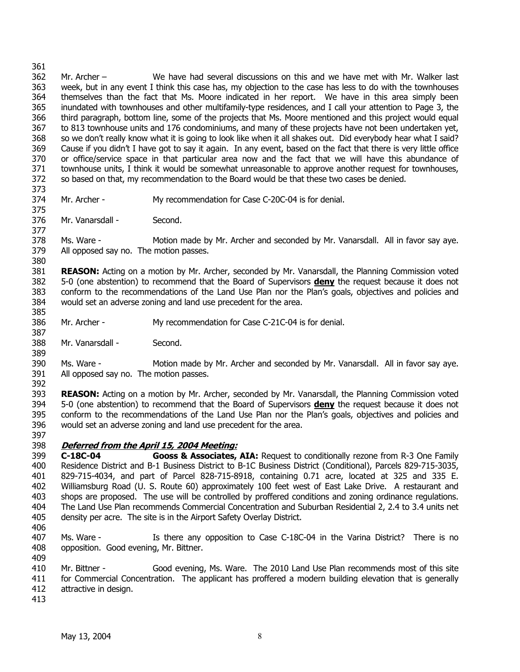362 363 364 365 366 367 368 369 370 371 372 Mr. Archer – We have had several discussions on this and we have met with Mr. Walker last week, but in any event I think this case has, my objection to the case has less to do with the townhouses themselves than the fact that Ms. Moore indicated in her report. We have in this area simply been inundated with townhouses and other multifamily-type residences, and I call your attention to Page 3, the third paragraph, bottom line, some of the projects that Ms. Moore mentioned and this project would equal to 813 townhouse units and 176 condominiums, and many of these projects have not been undertaken yet, so we don't really know what it is going to look like when it all shakes out. Did everybody hear what I said? Cause if you didn't I have got to say it again. In any event, based on the fact that there is very little office or office/service space in that particular area now and the fact that we will have this abundance of townhouse units, I think it would be somewhat unreasonable to approve another request for townhouses, so based on that, my recommendation to the Board would be that these two cases be denied.

373 374

375

Mr. Archer - My recommendation for Case C-20C-04 is for denial.

376 377 Mr. Vanarsdall - Second.

378 379 Ms. Ware - Motion made by Mr. Archer and seconded by Mr. Vanarsdall. All in favor say aye. All opposed say no. The motion passes.

380 381 **REASON:** Acting on a motion by Mr. Archer, seconded by Mr. Vanarsdall, the Planning Commission voted 5-0 (one abstention) to recommend that the Board of Supervisors **deny** the request because it does not conform to the recommendations of the Land Use Plan nor the Plan's goals, objectives and policies and would set an adverse zoning and land use precedent for the area. 382 383 384 385

386 Mr. Archer - My recommendation for Case C-21C-04 is for denial.

388 Mr. Vanarsdall - Second.

390 391 392 Ms. Ware - Motion made by Mr. Archer and seconded by Mr. Vanarsdall. All in favor say aye. All opposed say no. The motion passes.

393 **REASON:** Acting on a motion by Mr. Archer, seconded by Mr. Vanarsdall, the Planning Commission voted 5-0 (one abstention) to recommend that the Board of Supervisors **deny** the request because it does not conform to the recommendations of the Land Use Plan nor the Plan's goals, objectives and policies and would set an adverse zoning and land use precedent for the area. 394 395 396

397

387

389

# 398 **Deferred from the April 15, 2004 Meeting:**

399 400 401 402 403 404 405 **C-18C-04 Gooss & Associates, AIA:** Request to conditionally rezone from R-3 One Family Residence District and B-1 Business District to B-1C Business District (Conditional), Parcels 829-715-3035, 829-715-4034, and part of Parcel 828-715-8918, containing 0.71 acre, located at 325 and 335 E. Williamsburg Road (U. S. Route 60) approximately 100 feet west of East Lake Drive. A restaurant and shops are proposed. The use will be controlled by proffered conditions and zoning ordinance regulations. The Land Use Plan recommends Commercial Concentration and Suburban Residential 2, 2.4 to 3.4 units net density per acre. The site is in the Airport Safety Overlay District.

406

407 408 409 Ms. Ware - Is there any opposition to Case C-18C-04 in the Varina District? There is no opposition. Good evening, Mr. Bittner.

410 411 412 Mr. Bittner - Good evening, Ms. Ware. The 2010 Land Use Plan recommends most of this site for Commercial Concentration. The applicant has proffered a modern building elevation that is generally attractive in design.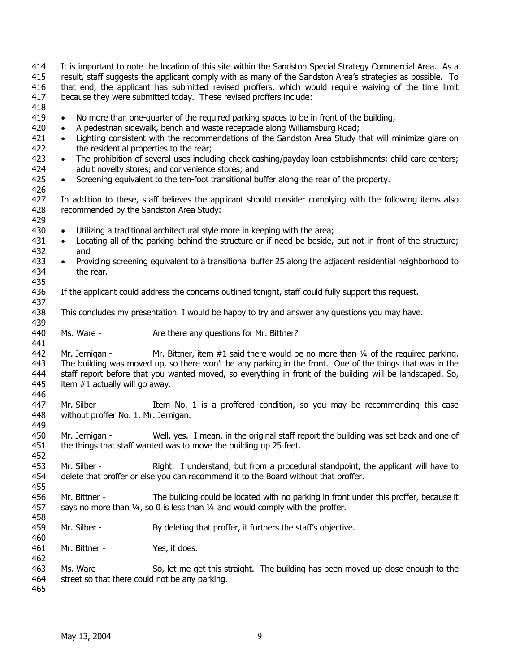417 418 419 420 421 422 423 424 425 426 427 428 429 430 431 432 433 434 435 436 437 438 439 440 441 442 443 444 445 446 447 448 449 450 451 452 453 454 455 456 457 458 459 460 461 462 463 464 465 because they were submitted today. These revised proffers include: • No more than one-quarter of the required parking spaces to be in front of the building; • A pedestrian sidewalk, bench and waste receptacle along Williamsburg Road; • Lighting consistent with the recommendations of the Sandston Area Study that will minimize glare on the residential properties to the rear; The prohibition of several uses including check cashing/payday loan establishments; child care centers; adult novelty stores; and convenience stores; and • Screening equivalent to the ten-foot transitional buffer along the rear of the property. In addition to these, staff believes the applicant should consider complying with the following items also recommended by the Sandston Area Study: • Utilizing a traditional architectural style more in keeping with the area; • Locating all of the parking behind the structure or if need be beside, but not in front of the structure; and • Providing screening equivalent to a transitional buffer 25 along the adjacent residential neighborhood to the rear. If the applicant could address the concerns outlined tonight, staff could fully support this request. This concludes my presentation. I would be happy to try and answer any questions you may have. Ms. Ware - The Are there any questions for Mr. Bittner? Mr. Jernigan - Mr. Bittner, item  $#1$  said there would be no more than  $\frac{1}{4}$  of the required parking. The building was moved up, so there won't be any parking in the front. One of the things that was in the staff report before that you wanted moved, so everything in front of the building will be landscaped. So, item #1 actually will go away. Mr. Silber - Item No. 1 is a proffered condition, so you may be recommending this case without proffer No. 1, Mr. Jernigan. Mr. Jernigan - Well, yes. I mean, in the original staff report the building was set back and one of the things that staff wanted was to move the building up 25 feet. Mr. Silber - Right. I understand, but from a procedural standpoint, the applicant will have to delete that proffer or else you can recommend it to the Board without that proffer. Mr. Bittner - The building could be located with no parking in front under this proffer, because it says no more than  $\frac{1}{4}$ , so 0 is less than  $\frac{1}{4}$  and would comply with the proffer. Mr. Silber - By deleting that proffer, it furthers the staff's objective. Mr. Bittner - Yes, it does. Ms. Ware - So, let me get this straight. The building has been moved up close enough to the street so that there could not be any parking.

It is important to note the location of this site within the Sandston Special Strategy Commercial Area. As a result, staff suggests the applicant comply with as many of the Sandston Area's strategies as possible. To that end, the applicant has submitted revised proffers, which would require waiving of the time limit

414 415 416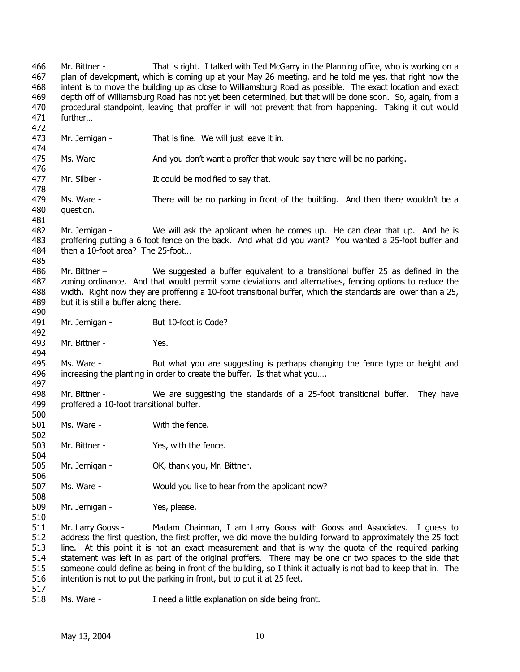466 467 468 469 470 471 472 473 474 475 476 477 478 479 480 481 482 483 484 485 486 487 488 489 490 491 492 493 494 495 496 497 498 499 500 501 502 503 504 505 506 507 508 509 510 511 512 513 514 515 516 517 Mr. Bittner - That is right. I talked with Ted McGarry in the Planning office, who is working on a plan of development, which is coming up at your May 26 meeting, and he told me yes, that right now the intent is to move the building up as close to Williamsburg Road as possible. The exact location and exact depth off of Williamsburg Road has not yet been determined, but that will be done soon. So, again, from a procedural standpoint, leaving that proffer in will not prevent that from happening. Taking it out would further… Mr. Jernigan - That is fine. We will just leave it in. Ms. Ware - And you don't want a proffer that would say there will be no parking. Mr. Silber - The Could be modified to say that. Ms. Ware - There will be no parking in front of the building. And then there wouldn't be a question. Mr. Jernigan - We will ask the applicant when he comes up. He can clear that up. And he is proffering putting a 6 foot fence on the back. And what did you want? You wanted a 25-foot buffer and then a 10-foot area? The 25-foot… Mr. Bittner – We suggested a buffer equivalent to a transitional buffer 25 as defined in the zoning ordinance. And that would permit some deviations and alternatives, fencing options to reduce the width. Right now they are proffering a 10-foot transitional buffer, which the standards are lower than a 25, but it is still a buffer along there. Mr. Jernigan - But 10-foot is Code? Mr. Bittner - Yes. Ms. Ware - But what you are suggesting is perhaps changing the fence type or height and increasing the planting in order to create the buffer. Is that what you…. Mr. Bittner - We are suggesting the standards of a 25-foot transitional buffer. They have proffered a 10-foot transitional buffer. Ms. Ware - With the fence. Mr. Bittner - Yes, with the fence. Mr. Jernigan - OK, thank you, Mr. Bittner. Ms. Ware - Would you like to hear from the applicant now? Mr. Jernigan - Yes, please. Mr. Larry Gooss - Madam Chairman, I am Larry Gooss with Gooss and Associates. I guess to address the first question, the first proffer, we did move the building forward to approximately the 25 foot line. At this point it is not an exact measurement and that is why the quota of the required parking statement was left in as part of the original proffers. There may be one or two spaces to the side that someone could define as being in front of the building, so I think it actually is not bad to keep that in. The intention is not to put the parking in front, but to put it at 25 feet.

518 Ms. Ware - Theed a little explanation on side being front.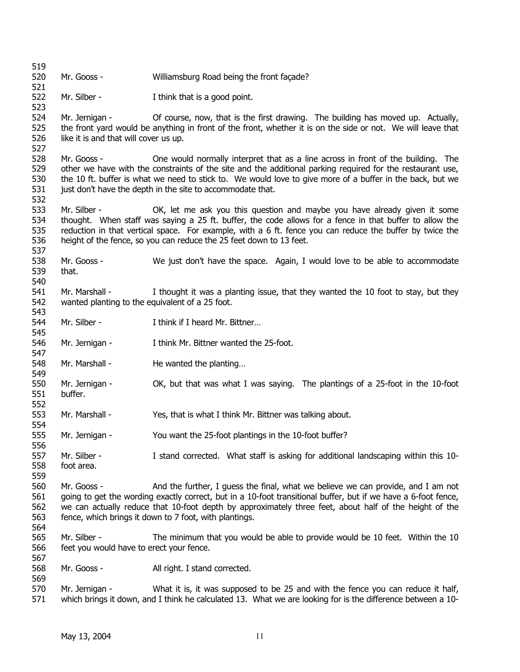519 520 521 522 523 524 525 526 527 528 529 530 531 532 533 534 535 536 537 538 539 540 541 542 543 544 545 546 547 548 549 550 551 552 553 554 555 556 557 558 559 560 561 562 563 564 565 566 567 568 569 570 571 Mr. Gooss - Williamsburg Road being the front façade? Mr. Silber - I think that is a good point. Mr. Jernigan - Of course, now, that is the first drawing. The building has moved up. Actually, the front yard would be anything in front of the front, whether it is on the side or not. We will leave that like it is and that will cover us up. Mr. Gooss - One would normally interpret that as a line across in front of the building. The other we have with the constraints of the site and the additional parking required for the restaurant use, the 10 ft. buffer is what we need to stick to. We would love to give more of a buffer in the back, but we just don't have the depth in the site to accommodate that. Mr. Silber - **OK, let me ask you this question and maybe you have already given it some** thought. When staff was saying a 25 ft. buffer, the code allows for a fence in that buffer to allow the reduction in that vertical space. For example, with a 6 ft. fence you can reduce the buffer by twice the height of the fence, so you can reduce the 25 feet down to 13 feet. Mr. Gooss - We just don't have the space. Again, I would love to be able to accommodate that. Mr. Marshall - I thought it was a planting issue, that they wanted the 10 foot to stay, but they wanted planting to the equivalent of a 25 foot. Mr. Silber - I think if I heard Mr. Bittner... Mr. Jernigan - I think Mr. Bittner wanted the 25-foot. Mr. Marshall - He wanted the planting... Mr. Jernigan - OK, but that was what I was saying. The plantings of a 25-foot in the 10-foot buffer. Mr. Marshall - Yes, that is what I think Mr. Bittner was talking about. Mr. Jernigan - You want the 25-foot plantings in the 10-foot buffer? Mr. Silber - I stand corrected. What staff is asking for additional landscaping within this 10foot area. Mr. Gooss - And the further, I guess the final, what we believe we can provide, and I am not going to get the wording exactly correct, but in a 10-foot transitional buffer, but if we have a 6-foot fence, we can actually reduce that 10-foot depth by approximately three feet, about half of the height of the fence, which brings it down to 7 foot, with plantings. Mr. Silber - The minimum that you would be able to provide would be 10 feet. Within the 10 feet you would have to erect your fence. Mr. Gooss - All right. I stand corrected. Mr. Jernigan - What it is, it was supposed to be 25 and with the fence you can reduce it half, which brings it down, and I think he calculated 13. What we are looking for is the difference between a 10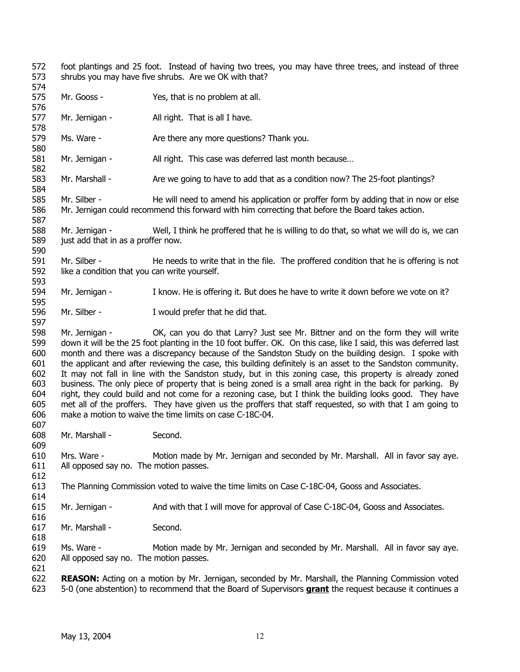572 573 foot plantings and 25 foot. Instead of having two trees, you may have three trees, and instead of three shrubs you may have five shrubs. Are we OK with that?

- 574 575 Mr. Gooss - Yes, that is no problem at all.
- 576 577 Mr. Jernigan - All right. That is all I have.
- 578 579 Ms. Ware - The Are there any more questions? Thank you.
- 581 Mr. Jernigan - All right. This case was deferred last month because...
- 582 583 Mr. Marshall - Are we going to have to add that as a condition now? The 25-foot plantings?
- 585 586 587 Mr. Silber - **He will need to amend his application or proffer form by adding that in now or else** Mr. Jernigan could recommend this forward with him correcting that before the Board takes action.
- 588 589 Mr. Jernigan - Well, I think he proffered that he is willing to do that, so what we will do is, we can just add that in as a proffer now.
- 591 592 593 Mr. Silber - He needs to write that in the file. The proffered condition that he is offering is not like a condition that you can write yourself.
- 594 Mr. Jernigan - I know. He is offering it. But does he have to write it down before we vote on it?
- 596 Mr. Silber - I would prefer that he did that.

598 599 600 601 602 603 604 605 606 Mr. Jernigan - CK, can you do that Larry? Just see Mr. Bittner and on the form they will write down it will be the 25 foot planting in the 10 foot buffer. OK. On this case, like I said, this was deferred last month and there was a discrepancy because of the Sandston Study on the building design. I spoke with the applicant and after reviewing the case, this building definitely is an asset to the Sandston community. It may not fall in line with the Sandston study, but in this zoning case, this property is already zoned business. The only piece of property that is being zoned is a small area right in the back for parking. By right, they could build and not come for a rezoning case, but I think the building looks good. They have met all of the proffers. They have given us the proffers that staff requested, so with that I am going to make a motion to waive the time limits on case C-18C-04.

- 608 Mr. Marshall - Second.
- 609 610 611 Mrs. Ware - Motion made by Mr. Jernigan and seconded by Mr. Marshall. All in favor say aye. All opposed say no. The motion passes.
- 612

616

618

607

580

584

590

595

- 613 614 The Planning Commission voted to waive the time limits on Case C-18C-04, Gooss and Associates.
- 615 Mr. Jernigan - And with that I will move for approval of Case C-18C-04, Gooss and Associates.
- 617 Mr. Marshall - Second.
- 619 620 Ms. Ware - Motion made by Mr. Jernigan and seconded by Mr. Marshall. All in favor say aye. All opposed say no. The motion passes.
- 621 622 **REASON:** Acting on a motion by Mr. Jernigan, seconded by Mr. Marshall, the Planning Commission voted 623 5-0 (one abstention) to recommend that the Board of Supervisors **grant** the request because it continues a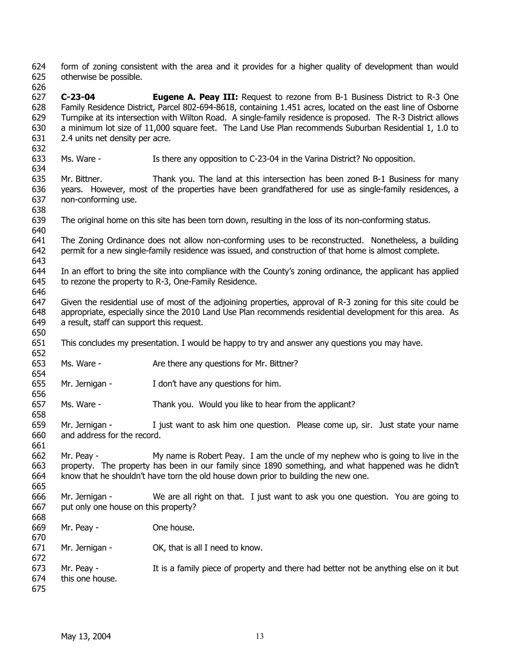624 625 form of zoning consistent with the area and it provides for a higher quality of development than would otherwise be possible.

626

632

640

646

650

652

656

658

661

665

627 628 629 630 631 **C-23-04 Eugene A. Peay III:** Request to rezone from B-1 Business District to R-3 One Family Residence District, Parcel 802-694-8618, containing 1.451 acres, located on the east line of Osborne Turnpike at its intersection with Wilton Road. A single-family residence is proposed. The R-3 District allows a minimum lot size of 11,000 square feet. The Land Use Plan recommends Suburban Residential 1, 1.0 to 2.4 units net density per acre.

633 634 Ms. Ware - Is there any opposition to C-23-04 in the Varina District? No opposition.

635 636 637 638 Mr. Bittner. Thank you. The land at this intersection has been zoned B-1 Business for many years. However, most of the properties have been grandfathered for use as single-family residences, a non-conforming use.

- 639 The original home on this site has been torn down, resulting in the loss of its non-conforming status.
- 641 642 The Zoning Ordinance does not allow non-conforming uses to be reconstructed. Nonetheless, a building permit for a new single-family residence was issued, and construction of that home is almost complete.
- 643 644 645 In an effort to bring the site into compliance with the County's zoning ordinance, the applicant has applied to rezone the property to R-3, One-Family Residence.
- 647 648 649 Given the residential use of most of the adjoining properties, approval of R-3 zoning for this site could be appropriate, especially since the 2010 Land Use Plan recommends residential development for this area. As a result, staff can support this request.
- 651 This concludes my presentation. I would be happy to try and answer any questions you may have.
- 653 Ms. Ware - The Are there any questions for Mr. Bittner?
- 654 655 Mr. Jernigan - I don't have any questions for him.
- 657 Ms. Ware - Thank you. Would you like to hear from the applicant?
- 659 660 Mr. Jernigan - I just want to ask him one question. Please come up, sir. Just state your name and address for the record.
- 662 663 664 Mr. Peay - My name is Robert Peay. I am the uncle of my nephew who is going to live in the property. The property has been in our family since 1890 something, and what happened was he didn't know that he shouldn't have torn the old house down prior to building the new one.
- 666 667 Mr. Jernigan - We are all right on that. I just want to ask you one question. You are going to put only one house on this property?
- 668 669 Mr. Peay - Che house.
- 670 671 Mr. Jernigan - OK, that is all I need to know.
- 672 673 674 Mr. Peay - It is a family piece of property and there had better not be anything else on it but this one house.
- 675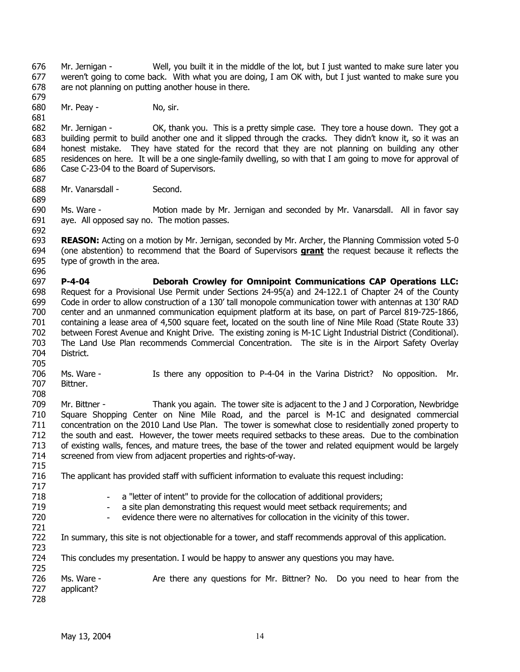676 677 678 Mr. Jernigan - Well, you built it in the middle of the lot, but I just wanted to make sure later you weren't going to come back. With what you are doing, I am OK with, but I just wanted to make sure you are not planning on putting another house in there.

680 Mr. Peay - No, sir.

682 683 684 685 686 687 Mr. Jernigan - OK, thank you. This is a pretty simple case. They tore a house down. They got a building permit to build another one and it slipped through the cracks. They didn't know it, so it was an honest mistake. They have stated for the record that they are not planning on building any other residences on here. It will be a one single-family dwelling, so with that I am going to move for approval of Case C-23-04 to the Board of Supervisors.

688 Mr. Vanarsdall - Second.

690 691 Ms. Ware - Motion made by Mr. Jernigan and seconded by Mr. Vanarsdall. All in favor say aye. All opposed say no. The motion passes.

693 **REASON:** Acting on a motion by Mr. Jernigan, seconded by Mr. Archer, the Planning Commission voted 5-0 (one abstention) to recommend that the Board of Supervisors **grant** the request because it reflects the type of growth in the area. 694 695

696

723

679

681

689

692

697 698 699 700 701 702 703 704 **P-4-04 Deborah Crowley for Omnipoint Communications CAP Operations LLC:**  Request for a Provisional Use Permit under Sections 24-95(a) and 24-122.1 of Chapter 24 of the County Code in order to allow construction of a 130' tall monopole communication tower with antennas at 130' RAD center and an unmanned communication equipment platform at its base, on part of Parcel 819-725-1866, containing a lease area of 4,500 square feet, located on the south line of Nine Mile Road (State Route 33) between Forest Avenue and Knight Drive. The existing zoning is M-1C Light Industrial District (Conditional). The Land Use Plan recommends Commercial Concentration. The site is in the Airport Safety Overlay District.

705 706 707 708 Ms. Ware - Is there any opposition to P-4-04 in the Varina District? No opposition. Mr. Bittner.

709 710 711 712 713 714 715 Mr. Bittner - Thank you again. The tower site is adjacent to the J and J Corporation, Newbridge Square Shopping Center on Nine Mile Road, and the parcel is M-1C and designated commercial concentration on the 2010 Land Use Plan. The tower is somewhat close to residentially zoned property to the south and east. However, the tower meets required setbacks to these areas. Due to the combination of existing walls, fences, and mature trees, the base of the tower and related equipment would be largely screened from view from adjacent properties and rights-of-way.

716 The applicant has provided staff with sufficient information to evaluate this request including:

- a "letter of intent" to provide for the collocation of additional providers;
- a site plan demonstrating this request would meet setback requirements; and
- evidence there were no alternatives for collocation in the vicinity of this tower.
- 722 In summary, this site is not objectionable for a tower, and staff recommends approval of this application.

724 This concludes my presentation. I would be happy to answer any questions you may have.

725 726 727 728 Ms. Ware - Are there any questions for Mr. Bittner? No. Do you need to hear from the applicant?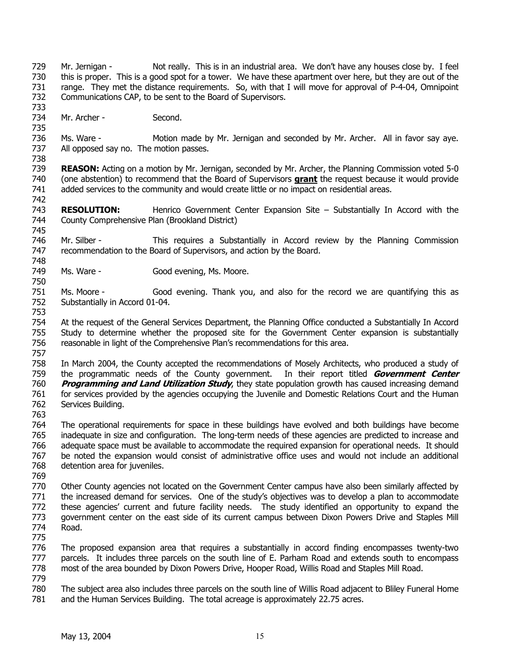- 729 730 731 732 733 734 735 736 737 738 739 Mr. Jernigan - Not really. This is in an industrial area. We don't have any houses close by. I feel this is proper. This is a good spot for a tower. We have these apartment over here, but they are out of the range. They met the distance requirements. So, with that I will move for approval of P-4-04, Omnipoint Communications CAP, to be sent to the Board of Supervisors. Mr. Archer - Second. Ms. Ware - Motion made by Mr. Jernigan and seconded by Mr. Archer. All in favor say aye. All opposed say no. The motion passes. **REASON:** Acting on a motion by Mr. Jernigan, seconded by Mr. Archer, the Planning Commission voted 5-0
- (one abstention) to recommend that the Board of Supervisors **grant** the request because it would provide added services to the community and would create little or no impact on residential areas. 740 741 742
- 743 744 745 **RESOLUTION:** Henrico Government Center Expansion Site – Substantially In Accord with the County Comprehensive Plan (Brookland District)
- 746 747 748 Mr. Silber - This requires a Substantially in Accord review by the Planning Commission recommendation to the Board of Supervisors, and action by the Board.
- 749 Ms. Ware - Good evening, Ms. Moore.
- 751 752 753 Ms. Moore - Good evening. Thank you, and also for the record we are quantifying this as Substantially in Accord 01-04.
- 754 755 756 757 At the request of the General Services Department, the Planning Office conducted a Substantially In Accord Study to determine whether the proposed site for the Government Center expansion is substantially reasonable in light of the Comprehensive Plan's recommendations for this area.
- 758 759 760 761 762 In March 2004, the County accepted the recommendations of Mosely Architects, who produced a study of the programmatic needs of the County government. In their report titled **Government Center Programming and Land Utilization Study**, they state population growth has caused increasing demand for services provided by the agencies occupying the Juvenile and Domestic Relations Court and the Human Services Building.
- 763

764 765 766 767 768 The operational requirements for space in these buildings have evolved and both buildings have become inadequate in size and configuration. The long-term needs of these agencies are predicted to increase and adequate space must be available to accommodate the required expansion for operational needs. It should be noted the expansion would consist of administrative office uses and would not include an additional detention area for juveniles.

769

770 771 772 773 774 775 Other County agencies not located on the Government Center campus have also been similarly affected by the increased demand for services. One of the study's objectives was to develop a plan to accommodate these agencies' current and future facility needs. The study identified an opportunity to expand the government center on the east side of its current campus between Dixon Powers Drive and Staples Mill Road.

- 776 777 778 The proposed expansion area that requires a substantially in accord finding encompasses twenty-two parcels. It includes three parcels on the south line of E. Parham Road and extends south to encompass most of the area bounded by Dixon Powers Drive, Hooper Road, Willis Road and Staples Mill Road.
- 779
- 780 781 The subject area also includes three parcels on the south line of Willis Road adjacent to Bliley Funeral Home and the Human Services Building. The total acreage is approximately 22.75 acres.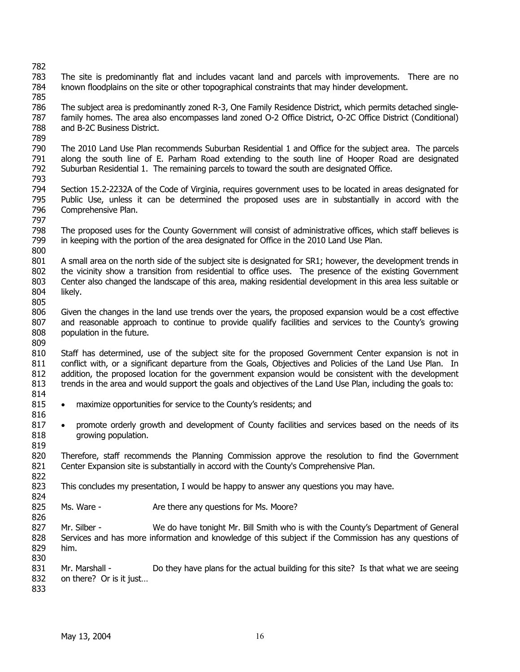805

814

816

819

824

826

- 783 784 The site is predominantly flat and includes vacant land and parcels with improvements. There are no known floodplains on the site or other topographical constraints that may hinder development.
- 785 786 787 788 789 The subject area is predominantly zoned R-3, One Family Residence District, which permits detached singlefamily homes. The area also encompasses land zoned O-2 Office District, O-2C Office District (Conditional) and B-2C Business District.
- 790 791 792 793 The 2010 Land Use Plan recommends Suburban Residential 1 and Office for the subject area. The parcels along the south line of E. Parham Road extending to the south line of Hooper Road are designated Suburban Residential 1. The remaining parcels to toward the south are designated Office.
- 794 795 796 Section 15.2-2232A of the Code of Virginia, requires government uses to be located in areas designated for Public Use, unless it can be determined the proposed uses are in substantially in accord with the Comprehensive Plan.
- 797 798 799 800 The proposed uses for the County Government will consist of administrative offices, which staff believes is in keeping with the portion of the area designated for Office in the 2010 Land Use Plan.
- 801 802 803 804 A small area on the north side of the subject site is designated for SR1; however, the development trends in the vicinity show a transition from residential to office uses. The presence of the existing Government Center also changed the landscape of this area, making residential development in this area less suitable or likely.
- 806 807 808 809 Given the changes in the land use trends over the years, the proposed expansion would be a cost effective and reasonable approach to continue to provide qualify facilities and services to the County's growing population in the future.
- 810 811 812 813 Staff has determined, use of the subject site for the proposed Government Center expansion is not in conflict with, or a significant departure from the Goals, Objectives and Policies of the Land Use Plan. In addition, the proposed location for the government expansion would be consistent with the development trends in the area and would support the goals and objectives of the Land Use Plan, including the goals to:
- 815 • maximize opportunities for service to the County's residents; and
- 817 818 • promote orderly growth and development of County facilities and services based on the needs of its growing population.
- 820 821 Therefore, staff recommends the Planning Commission approve the resolution to find the Government Center Expansion site is substantially in accord with the County's Comprehensive Plan.
- 822 823 This concludes my presentation, I would be happy to answer any questions you may have.
- 825 Ms. Ware - The Are there any questions for Ms. Moore?
- 827 828 829 Mr. Silber - We do have tonight Mr. Bill Smith who is with the County's Department of General Services and has more information and knowledge of this subject if the Commission has any questions of him.
- 831 832 Mr. Marshall - Do they have plans for the actual building for this site? Is that what we are seeing on there? Or is it just…
- 833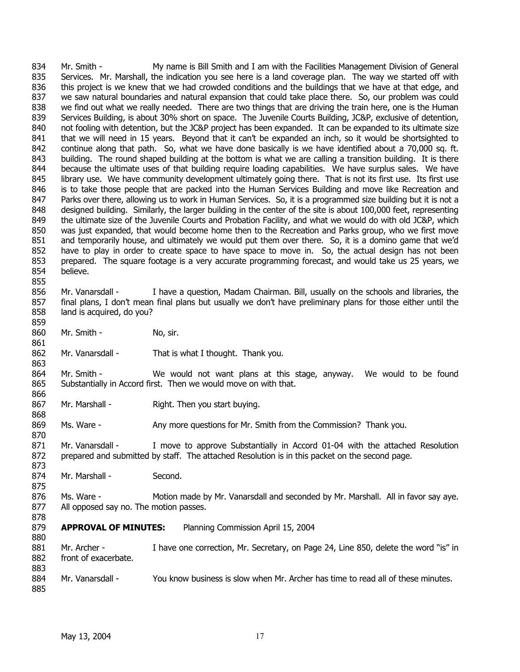834 835 836 837 838 839 840 841 842 843 844 845 846 847 848 849 850 851 852 853 854 855 Mr. Smith - My name is Bill Smith and I am with the Facilities Management Division of General Services. Mr. Marshall, the indication you see here is a land coverage plan. The way we started off with this project is we knew that we had crowded conditions and the buildings that we have at that edge, and we saw natural boundaries and natural expansion that could take place there. So, our problem was could we find out what we really needed. There are two things that are driving the train here, one is the Human Services Building, is about 30% short on space. The Juvenile Courts Building, JC&P, exclusive of detention, not fooling with detention, but the JC&P project has been expanded. It can be expanded to its ultimate size that we will need in 15 years. Beyond that it can't be expanded an inch, so it would be shortsighted to continue along that path. So, what we have done basically is we have identified about a 70,000 sq. ft. building. The round shaped building at the bottom is what we are calling a transition building. It is there because the ultimate uses of that building require loading capabilities. We have surplus sales. We have library use. We have community development ultimately going there. That is not its first use. Its first use is to take those people that are packed into the Human Services Building and move like Recreation and Parks over there, allowing us to work in Human Services. So, it is a programmed size building but it is not a designed building. Similarly, the larger building in the center of the site is about 100,000 feet, representing the ultimate size of the Juvenile Courts and Probation Facility, and what we would do with old JC&P, which was just expanded, that would become home then to the Recreation and Parks group, who we first move and temporarily house, and ultimately we would put them over there. So, it is a domino game that we'd have to play in order to create space to have space to move in. So, the actual design has not been prepared. The square footage is a very accurate programming forecast, and would take us 25 years, we believe.

#### 856 857 858 Mr. Vanarsdall - I have a question, Madam Chairman. Bill, usually on the schools and libraries, the final plans, I don't mean final plans but usually we don't have preliminary plans for those either until the land is acquired, do you?

860 Mr. Smith - No, sir.

859

861

863

866

868

870

875

878

862 Mr. Vanarsdall - That is what I thought. Thank you.

864 865 Mr. Smith - We would not want plans at this stage, anyway. We would to be found Substantially in Accord first. Then we would move on with that.

867 Mr. Marshall - Right. Then you start buying.

869 Ms. Ware - Any more questions for Mr. Smith from the Commission? Thank you.

871 872 873 Mr. Vanarsdall - I move to approve Substantially in Accord 01-04 with the attached Resolution prepared and submitted by staff. The attached Resolution is in this packet on the second page.

874 Mr. Marshall - Second.

876 877 Ms. Ware - Motion made by Mr. Vanarsdall and seconded by Mr. Marshall. All in favor say aye. All opposed say no. The motion passes.

#### 879 **APPROVAL OF MINUTES:** Planning Commission April 15, 2004

880 881 882 883 884 Mr. Archer - I have one correction, Mr. Secretary, on Page 24, Line 850, delete the word "is" in front of exacerbate.

885 Mr. Vanarsdall - You know business is slow when Mr. Archer has time to read all of these minutes.